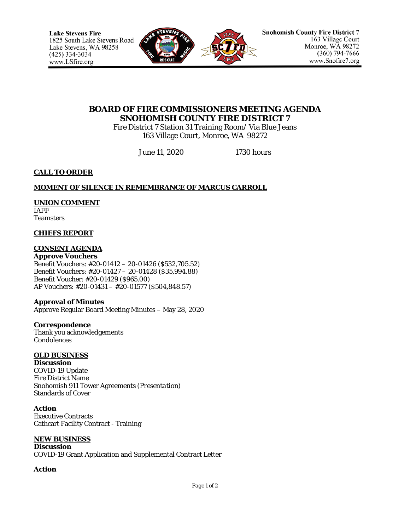

# **BOARD OF FIRE COMMISSIONERS MEETING AGENDA SNOHOMISH COUNTY FIRE DISTRICT 7**

Fire District 7 Station 31 Training Room/ Via Blue Jeans 163 Village Court, Monroe, WA 98272

June 11, 2020 1730 hours

### **CALL TO ORDER**

### **MOMENT OF SILENCE IN REMEMBRANCE OF MARCUS CARROLL**

## **UNION COMMENT**

IAFF **Teamsters** 

#### **CHIEFS REPORT**

### **CONSENT AGENDA**

**Approve Vouchers** Benefit Vouchers: #20-01412 – 20-01426 (\$532,705.52) Benefit Vouchers: #20-01427 – 20-01428 (\$35,994.88) Benefit Voucher: #20-01429 (\$965.00) AP Vouchers: #20-01431 – #20-01577 (\$504,848.57)

### **Approval of Minutes**

Approve Regular Board Meeting Minutes – May 28, 2020

**Correspondence** Thank you acknowledgements Condolences

## **OLD BUSINESS**

**Discussion** COVID-19 Update Fire District Name Snohomish 911 Tower Agreements (*Presentation)* Standards of Cover

**Action**

Executive Contracts Cathcart Facility Contract - Training

### **NEW BUSINESS**

**Discussion**  COVID-19 Grant Application and Supplemental Contract Letter

**Action**